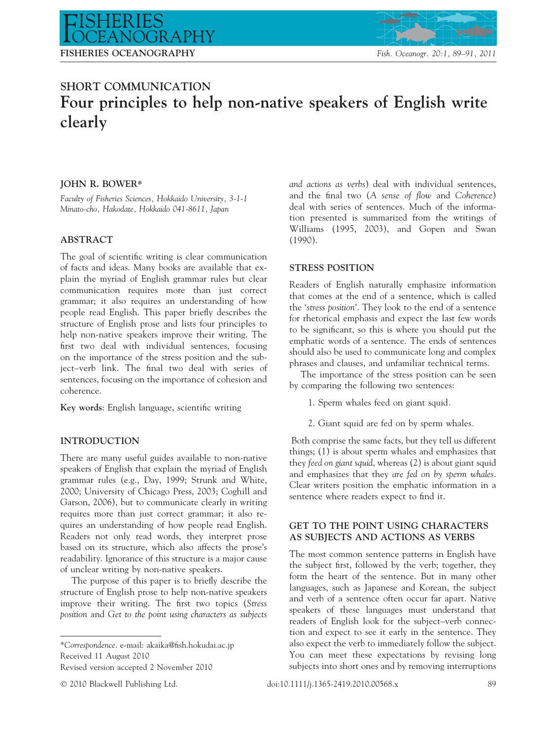

# SHORT COMMUNICATION Four principles to help non-native speakers of English write clearly

# JOHN R. BOWER\*

Faculty of Fisheries Sciences, Hokkaido University, 3-1-1 Minato-cho, Hakodate, Hokkaido 041-8611, Japan

# ABSTRACT

The goal of scientific writing is clear communication of facts and ideas. Many books are available that explain the myriad of English grammar rules but clear communication requires more than just correct grammar; it also requires an understanding of how people read English. This paper briefly describes the structure of English prose and lists four principles to help non-native speakers improve their writing. The first two deal with individual sentences, focusing on the importance of the stress position and the subject–verb link. The final two deal with series of sentences, focusing on the importance of cohesion and coherence.

Key words: English language, scientific writing

## INTRODUCTION

There are many useful guides available to non-native speakers of English that explain the myriad of English grammar rules (e.g., Day, 1999; Strunk and White, 2000; University of Chicago Press, 2003; Coghill and Garson, 2006), but to communicate clearly in writing requires more than just correct grammar; it also requires an understanding of how people read English. Readers not only read words, they interpret prose based on its structure, which also affects the prose's readability. Ignorance of this structure is a major cause of unclear writing by non-native speakers.

The purpose of this paper is to briefly describe the structure of English prose to help non-native speakers improve their writing. The first two topics (Stress position and Get to the point using characters as subjects

\*Correspondence. e-mail: akaika@fish.hokudai.ac.jp Received 11 August 2010

Revised version accepted 2 November 2010

and actions as verbs) deal with individual sentences, and the final two (A sense of flow and Coherence) deal with series of sentences. Much of the information presented is summarized from the writings of Williams (1995, 2003), and Gopen and Swan (1990).

## STRESS POSITION

Readers of English naturally emphasize information that comes at the end of a sentence, which is called the 'stress position'. They look to the end of a sentence for rhetorical emphasis and expect the last few words to be significant, so this is where you should put the emphatic words of a sentence. The ends of sentences should also be used to communicate long and complex phrases and clauses, and unfamiliar technical terms.

The importance of the stress position can be seen by comparing the following two sentences:

- 1. Sperm whales feed on giant squid.
- 2. Giant squid are fed on by sperm whales.

Both comprise the same facts, but they tell us different things; (1) is about sperm whales and emphasizes that they feed on giant squid, whereas (2) is about giant squid and emphasizes that they are fed on by sperm whales. Clear writers position the emphatic information in a sentence where readers expect to find it.

## GET TO THE POINT USING CHARACTERS AS SUBJECTS AND ACTIONS AS VERBS

The most common sentence patterns in English have the subject first, followed by the verb; together, they form the heart of the sentence. But in many other languages, such as Japanese and Korean, the subject and verb of a sentence often occur far apart. Native speakers of these languages must understand that readers of English look for the subject–verb connection and expect to see it early in the sentence. They also expect the verb to immediately follow the subject. You can meet these expectations by revising long subjects into short ones and by removing interruptions

doi:10.1111/j.1365-2419.2010.00568.x 89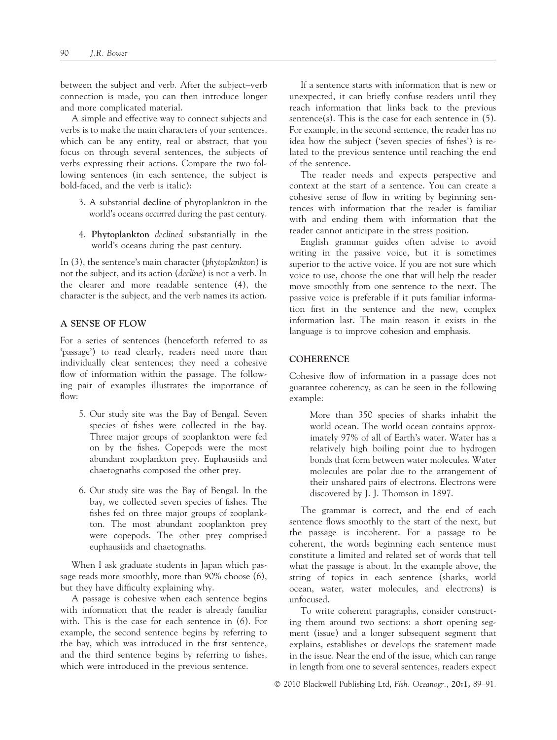between the subject and verb. After the subject–verb connection is made, you can then introduce longer and more complicated material.

A simple and effective way to connect subjects and verbs is to make the main characters of your sentences, which can be any entity, real or abstract, that you focus on through several sentences, the subjects of verbs expressing their actions. Compare the two following sentences (in each sentence, the subject is bold-faced, and the verb is italic):

- 3. A substantial decline of phytoplankton in the world's oceans occurred during the past century.
- 4. Phytoplankton declined substantially in the world's oceans during the past century.

In (3), the sentence's main character (phytoplankton) is not the subject, and its action (decline) is not a verb. In the clearer and more readable sentence (4), the character is the subject, and the verb names its action.

#### A SENSE OF FLOW

For a series of sentences (henceforth referred to as 'passage') to read clearly, readers need more than individually clear sentences; they need a cohesive flow of information within the passage. The following pair of examples illustrates the importance of flow:

- 5. Our study site was the Bay of Bengal. Seven species of fishes were collected in the bay. Three major groups of zooplankton were fed on by the fishes. Copepods were the most abundant zooplankton prey. Euphausiids and chaetognaths composed the other prey.
- 6. Our study site was the Bay of Bengal. In the bay, we collected seven species of fishes. The fishes fed on three major groups of zooplankton. The most abundant zooplankton prey were copepods. The other prey comprised euphausiids and chaetognaths.

When I ask graduate students in Japan which passage reads more smoothly, more than 90% choose (6), but they have difficulty explaining why.

A passage is cohesive when each sentence begins with information that the reader is already familiar with. This is the case for each sentence in (6). For example, the second sentence begins by referring to the bay, which was introduced in the first sentence, and the third sentence begins by referring to fishes, which were introduced in the previous sentence.

If a sentence starts with information that is new or unexpected, it can briefly confuse readers until they reach information that links back to the previous sentence(s). This is the case for each sentence in (5). For example, in the second sentence, the reader has no idea how the subject ('seven species of fishes') is related to the previous sentence until reaching the end of the sentence.

The reader needs and expects perspective and context at the start of a sentence. You can create a cohesive sense of flow in writing by beginning sentences with information that the reader is familiar with and ending them with information that the reader cannot anticipate in the stress position.

English grammar guides often advise to avoid writing in the passive voice, but it is sometimes superior to the active voice. If you are not sure which voice to use, choose the one that will help the reader move smoothly from one sentence to the next. The passive voice is preferable if it puts familiar information first in the sentence and the new, complex information last. The main reason it exists in the language is to improve cohesion and emphasis.

#### **COHERENCE**

Cohesive flow of information in a passage does not guarantee coherency, as can be seen in the following example:

More than 350 species of sharks inhabit the world ocean. The world ocean contains approximately 97% of all of Earth's water. Water has a relatively high boiling point due to hydrogen bonds that form between water molecules. Water molecules are polar due to the arrangement of their unshared pairs of electrons. Electrons were discovered by J. J. Thomson in 1897.

The grammar is correct, and the end of each sentence flows smoothly to the start of the next, but the passage is incoherent. For a passage to be coherent, the words beginning each sentence must constitute a limited and related set of words that tell what the passage is about. In the example above, the string of topics in each sentence (sharks, world ocean, water, water molecules, and electrons) is unfocused.

To write coherent paragraphs, consider constructing them around two sections: a short opening segment (issue) and a longer subsequent segment that explains, establishes or develops the statement made in the issue. Near the end of the issue, which can range in length from one to several sentences, readers expect

© 2010 Blackwell Publishing Ltd, Fish. Oceanogr., 20:1, 89-91.